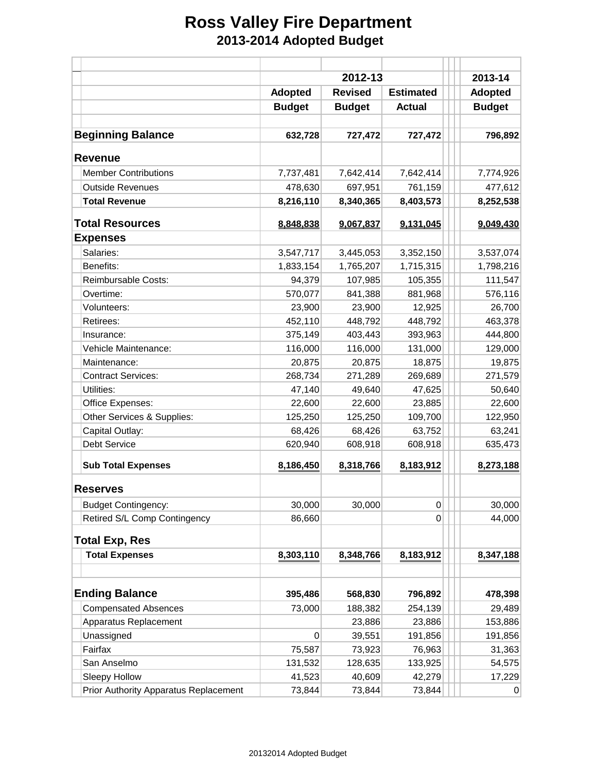## **Ross Valley Fire Department 2013-2014 Adopted Budget**

|                                       |                | 2013-14        |                  |                |
|---------------------------------------|----------------|----------------|------------------|----------------|
|                                       | <b>Adopted</b> | <b>Revised</b> | <b>Estimated</b> | <b>Adopted</b> |
|                                       | <b>Budget</b>  | <b>Budget</b>  | <b>Actual</b>    | <b>Budget</b>  |
|                                       |                |                |                  |                |
| <b>Beginning Balance</b>              | 632,728        | 727,472        | 727,472          | 796,892        |
| <b>Revenue</b>                        |                |                |                  |                |
| <b>Member Contributions</b>           | 7,737,481      | 7,642,414      | 7,642,414        | 7,774,926      |
| <b>Outside Revenues</b>               | 478,630        | 697,951        | 761,159          | 477,612        |
| <b>Total Revenue</b>                  | 8,216,110      | 8,340,365      | 8,403,573        | 8,252,538      |
| <b>Total Resources</b>                | 8,848,838      | 9.067.837      | 9,131,045        | 9,049,430      |
| <b>Expenses</b>                       |                |                |                  |                |
| Salaries:                             | 3,547,717      | 3,445,053      | 3,352,150        | 3,537,074      |
| Benefits:                             | 1,833,154      | 1,765,207      | 1,715,315        | 1,798,216      |
| Reimbursable Costs:                   | 94,379         | 107,985        | 105,355          | 111,547        |
| Overtime:                             | 570,077        | 841,388        | 881,968          | 576,116        |
| Volunteers:                           | 23,900         | 23,900         | 12,925           | 26,700         |
| Retirees:                             | 452,110        | 448,792        | 448,792          | 463,378        |
| Insurance:                            | 375,149        | 403,443        | 393,963          | 444,800        |
| Vehicle Maintenance:                  | 116,000        | 116,000        | 131,000          | 129,000        |
| Maintenance:                          | 20,875         | 20,875         | 18,875           | 19,875         |
| <b>Contract Services:</b>             | 268,734        | 271,289        | 269,689          | 271,579        |
| Utilities:                            | 47,140         | 49,640         | 47,625           | 50,640         |
| Office Expenses:                      | 22,600         | 22,600         | 23,885           | 22,600         |
| Other Services & Supplies:            | 125,250        | 125,250        | 109,700          | 122,950        |
| Capital Outlay:                       | 68,426         | 68,426         | 63,752           | 63,241         |
| <b>Debt Service</b>                   | 620,940        | 608,918        | 608,918          | 635,473        |
| <b>Sub Total Expenses</b>             | 8,186,450      | 8,318,766      | 8,183,912        | 8,273,188      |
| <b>Reserves</b>                       |                |                |                  |                |
| <b>Budget Contingency:</b>            | 30,000         | 30,000         | 0                | 30,000         |
| Retired S/L Comp Contingency          | 86,660         |                | 0                | 44,000         |
| <b>Total Exp, Res</b>                 |                |                |                  |                |
| <b>Total Expenses</b>                 | 8,303,110      | 8,348,766      | 8,183,912        | 8,347,188      |
|                                       |                |                |                  |                |
| <b>Ending Balance</b>                 | 395,486        | 568,830        | 796,892          | 478,398        |
| <b>Compensated Absences</b>           | 73,000         | 188,382        | 254,139          | 29,489         |
| Apparatus Replacement                 |                | 23,886         | 23,886           | 153,886        |
| Unassigned                            | 0              | 39,551         | 191,856          | 191,856        |
| Fairfax                               | 75,587         | 73,923         | 76,963           | 31,363         |
| San Anselmo                           | 131,532        | 128,635        | 133,925          | 54,575         |
| Sleepy Hollow                         | 41,523         | 40,609         | 42,279           | 17,229         |
| Prior Authority Apparatus Replacement | 73,844         | 73,844         | 73,844           |                |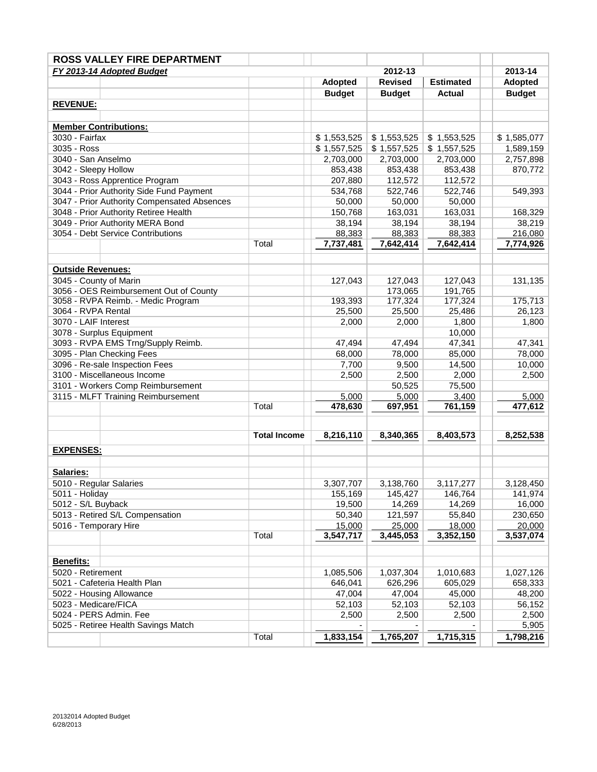| <b>ROSS VALLEY FIRE DEPARTMENT</b>          |                     |                     |                                    |                     |                     |  |
|---------------------------------------------|---------------------|---------------------|------------------------------------|---------------------|---------------------|--|
| FY 2013-14 Adopted Budget                   |                     | 2012-13             |                                    | 2013-14             |                     |  |
|                                             |                     | <b>Adopted</b>      | <b>Revised</b><br><b>Estimated</b> |                     | <b>Adopted</b>      |  |
|                                             |                     | <b>Budget</b>       | <b>Budget</b>                      | <b>Actual</b>       | <b>Budget</b>       |  |
| <b>REVENUE:</b>                             |                     |                     |                                    |                     |                     |  |
|                                             |                     |                     |                                    |                     |                     |  |
| <b>Member Contributions:</b>                |                     |                     |                                    |                     |                     |  |
| 3030 - Fairfax                              |                     | \$1,553,525         | \$1,553,525                        | \$1,553,525         | \$1,585,077         |  |
| 3035 - Ross                                 |                     | \$1,557,525         | \$1,557,525                        | \$1,557,525         | 1,589,159           |  |
| 3040 - San Anselmo                          |                     | 2,703,000           | 2,703,000                          | 2,703,000           | 2,757,898           |  |
| 3042 - Sleepy Hollow                        |                     | 853,438             | 853,438                            | 853,438             | 870,772             |  |
| 3043 - Ross Apprentice Program              |                     | 207,880             | 112,572                            | 112,572             |                     |  |
| 3044 - Prior Authority Side Fund Payment    |                     | 534,768             | 522,746                            | 522,746             | 549,393             |  |
| 3047 - Prior Authority Compensated Absences |                     | 50,000              | 50,000                             | 50,000              |                     |  |
| 3048 - Prior Authority Retiree Health       |                     | 150,768             | 163,031                            | 163,031             | 168,329             |  |
| 3049 - Prior Authority MERA Bond            |                     | 38,194              | 38,194                             | 38,194              | 38,219              |  |
| 3054 - Debt Service Contributions           |                     | 88,383              | 88,383                             | 88,383              | 216,080             |  |
|                                             | Total               | 7,737,481           | 7,642,414                          | 7,642,414           | 7,774,926           |  |
|                                             |                     |                     |                                    |                     |                     |  |
|                                             |                     |                     |                                    |                     |                     |  |
| <b>Outside Revenues:</b>                    |                     |                     |                                    |                     |                     |  |
| 3045 - County of Marin                      |                     | 127,043             | 127,043                            | 127,043             | 131,135             |  |
| 3056 - OES Reimbursement Out of County      |                     |                     | 173,065                            | 191,765             |                     |  |
| 3058 - RVPA Reimb. - Medic Program          |                     | 193,393             | 177,324                            | 177,324             | 175,713             |  |
| 3064 - RVPA Rental<br>3070 - LAIF Interest  |                     | 25,500              | 25,500                             | 25,486              | 26,123              |  |
|                                             |                     | 2,000               | 2,000                              | 1,800               | 1,800               |  |
| 3078 - Surplus Equipment                    |                     |                     |                                    | 10,000              |                     |  |
| 3093 - RVPA EMS Trng/Supply Reimb.          |                     | 47,494              | 47,494                             | 47,341              | 47,341              |  |
| 3095 - Plan Checking Fees                   |                     | 68,000              | 78,000                             | 85,000              | 78,000              |  |
| 3096 - Re-sale Inspection Fees              |                     | 7,700               | 9,500                              | 14,500              | 10,000              |  |
| 3100 - Miscellaneous Income                 |                     | 2,500               | 2,500                              | 2,000               | 2,500               |  |
| 3101 - Workers Comp Reimbursement           |                     | 5,000               | 50,525<br>5,000                    | 75,500<br>3,400     |                     |  |
| 3115 - MLFT Training Reimbursement          | Total               | 478,630             | 697,951                            | 761,159             | 5,000<br>477,612    |  |
|                                             |                     |                     |                                    |                     |                     |  |
|                                             |                     |                     |                                    |                     |                     |  |
|                                             | <b>Total Income</b> | 8,216,110           | 8,340,365                          | 8,403,573           | 8,252,538           |  |
|                                             |                     |                     |                                    |                     |                     |  |
| <b>EXPENSES:</b>                            |                     |                     |                                    |                     |                     |  |
|                                             |                     |                     |                                    |                     |                     |  |
| Salaries:                                   |                     |                     |                                    |                     |                     |  |
| 5010 - Regular Salaries                     |                     | 3,307,707           | 3,138,760                          | 3,117,277           | 3,128,450           |  |
| 5011 - Holiday                              |                     | 155,169             | 145,427                            | 146,764             | 141,974             |  |
| 5012 - S/L Buyback                          |                     | 19,500              | 14,269                             | 14,269              | 16,000              |  |
| 5013 - Retired S/L Compensation             |                     | 50,340              | 121,597                            | 55,840              | 230,650             |  |
| 5016 - Temporary Hire                       | Total               | 15,000<br>3,547,717 | 25,000<br>3,445,053                | 18,000<br>3,352,150 | 20,000<br>3,537,074 |  |
|                                             |                     |                     |                                    |                     |                     |  |
|                                             |                     |                     |                                    |                     |                     |  |
| Benefits:                                   |                     |                     |                                    |                     |                     |  |
| 5020 - Retirement                           |                     | 1,085,506           | 1,037,304                          | 1,010,683           | 1,027,126           |  |
| 5021 - Cafeteria Health Plan                |                     | 646,041             | 626,296                            | 605,029             | 658,333             |  |
| 5022 - Housing Allowance                    |                     | 47,004              | 47,004                             | 45,000              | 48,200              |  |
| 5023 - Medicare/FICA                        |                     | 52,103              | 52,103                             | 52,103              | 56,152              |  |
| 5024 - PERS Admin. Fee                      |                     | 2,500               | 2,500                              | 2,500               | 2,500               |  |
| 5025 - Retiree Health Savings Match         |                     |                     |                                    |                     | 5,905               |  |
|                                             | Total               | 1,833,154           | 1,765,207                          | 1,715,315           | 1,798,216           |  |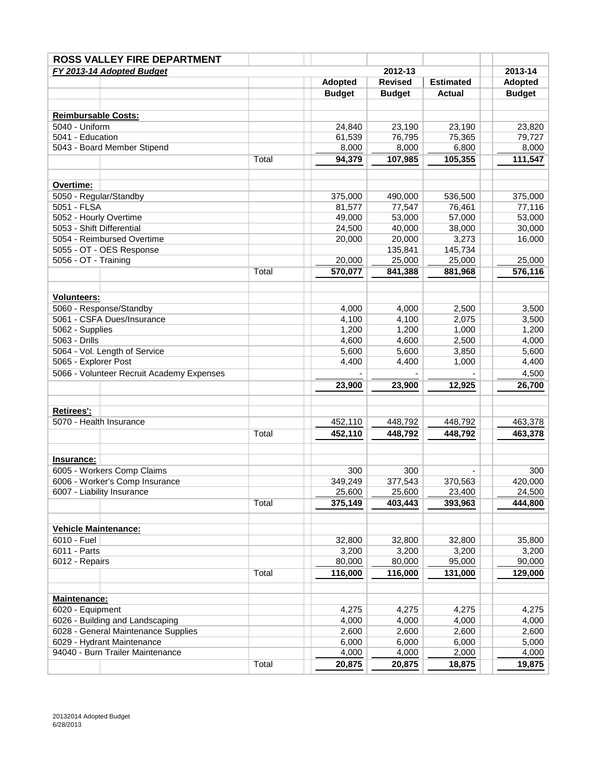|                             | <b>ROSS VALLEY FIRE DEPARTMENT</b>        |       |                                               |               |                |               |
|-----------------------------|-------------------------------------------|-------|-----------------------------------------------|---------------|----------------|---------------|
|                             | 2012-13<br>FY 2013-14 Adopted Budget      |       |                                               |               | 2013-14        |               |
|                             |                                           |       | <b>Revised</b><br>Adopted<br><b>Estimated</b> |               | <b>Adopted</b> |               |
|                             |                                           |       | <b>Budget</b>                                 | <b>Budget</b> | <b>Actual</b>  | <b>Budget</b> |
|                             |                                           |       |                                               |               |                |               |
| <b>Reimbursable Costs:</b>  |                                           |       |                                               |               |                |               |
| 5040 - Uniform              |                                           |       | 24,840                                        | 23,190        | 23,190         | 23,820        |
| 5041 - Education            |                                           |       | 61,539                                        | 76,795        | 75,365         | 79,727        |
|                             | 5043 - Board Member Stipend               |       | 8,000                                         | 8,000         | 6,800          | 8,000         |
|                             |                                           | Total | 94,379                                        | 107,985       | 105,355        | 111,547       |
|                             |                                           |       |                                               |               |                |               |
| Overtime:                   |                                           |       |                                               |               |                |               |
| 5050 - Regular/Standby      |                                           |       | 375,000                                       | 490,000       | 536,500        | 375,000       |
| 5051 - FLSA                 |                                           |       | 81,577                                        | 77,547        | 76,461         | 77,116        |
| 5052 - Hourly Overtime      |                                           |       | 49,000                                        | 53,000        | 57,000         | 53,000        |
| 5053 - Shift Differential   |                                           |       | 24,500                                        | 40,000        | 38,000         | 30,000        |
|                             | 5054 - Reimbursed Overtime                |       | 20,000                                        | 20,000        | 3,273          | 16,000        |
|                             | 5055 - OT - OES Response                  |       |                                               | 135,841       | 145,734        |               |
| 5056 - OT - Training        |                                           |       | 20,000                                        | 25,000        | 25,000         | 25,000        |
|                             |                                           | Total | 570,077                                       | 841,388       | 881,968        | 576,116       |
|                             |                                           |       |                                               |               |                |               |
|                             |                                           |       |                                               |               |                |               |
| <b>Volunteers:</b>          |                                           |       |                                               |               |                |               |
|                             | 5060 - Response/Standby                   |       | 4,000                                         | 4,000         | 2,500          | 3,500         |
|                             | 5061 - CSFA Dues/Insurance                |       | 4,100                                         | 4,100         | 2,075          | 3,500         |
| 5062 - Supplies             |                                           |       | 1,200                                         | 1,200         | 1,000          | 1,200         |
| 5063 - Drills               |                                           |       | 4,600                                         | 4,600         | 2,500          | 4,000         |
|                             | 5064 - Vol. Length of Service             |       | 5,600                                         | 5,600         | 3,850          | 5,600         |
| 5065 - Explorer Post        |                                           |       | 4,400                                         | 4,400         | 1,000          | 4,400         |
|                             | 5066 - Volunteer Recruit Academy Expenses |       |                                               |               |                | 4,500         |
|                             |                                           |       | 23,900                                        | 23,900        | 12,925         | 26,700        |
|                             |                                           |       |                                               |               |                |               |
| <b>Retirees':</b>           |                                           |       |                                               |               |                |               |
| 5070 - Health Insurance     |                                           |       | 452,110                                       | 448,792       | 448,792        | 463,378       |
|                             |                                           | Total | 452,110                                       | 448,792       | 448,792        | 463,378       |
|                             |                                           |       |                                               |               |                |               |
| <b>Insurance:</b>           |                                           |       |                                               |               |                |               |
|                             | 6005 - Workers Comp Claims                |       | 300                                           | 300           |                | 300           |
|                             | 6006 - Worker's Comp Insurance            |       | 349,249                                       | 377,543       | 370,563        | 420,000       |
|                             | 6007 - Liability Insurance                |       | 25,600                                        | 25,600        | 23,400         | 24,500        |
|                             |                                           | Total | 375,149                                       | 403,443       | 393,963        | 444,800       |
|                             |                                           |       |                                               |               |                |               |
| <b>Vehicle Maintenance:</b> |                                           |       |                                               |               |                |               |
| 6010 - Fuel                 |                                           |       | 32,800                                        | 32,800        | 32,800         | 35,800        |
| 6011 - Parts                |                                           |       | 3,200                                         | 3,200         | 3,200          | 3,200         |
| 6012 - Repairs              |                                           |       | 80,000                                        | 80,000        | 95,000         | 90,000        |
|                             |                                           | Total | 116,000                                       | 116,000       | 131,000        | 129,000       |
|                             |                                           |       |                                               |               |                |               |
| Maintenance:                |                                           |       |                                               |               |                |               |
| 6020 - Equipment            |                                           |       | 4,275                                         | 4,275         | 4,275          | 4,275         |
|                             | 6026 - Building and Landscaping           |       | 4,000                                         | 4,000         | 4,000          | 4,000         |
|                             | 6028 - General Maintenance Supplies       |       | 2,600                                         | 2,600         | 2,600          | 2,600         |
|                             | 6029 - Hydrant Maintenance                |       | 6,000                                         | 6,000         | 6,000          | 5,000         |
|                             | 94040 - Burn Trailer Maintenance          |       | 4,000                                         | 4,000         | 2,000          | 4,000         |
|                             |                                           | Total | 20,875                                        | 20,875        | 18,875         | 19,875        |
|                             |                                           |       |                                               |               |                |               |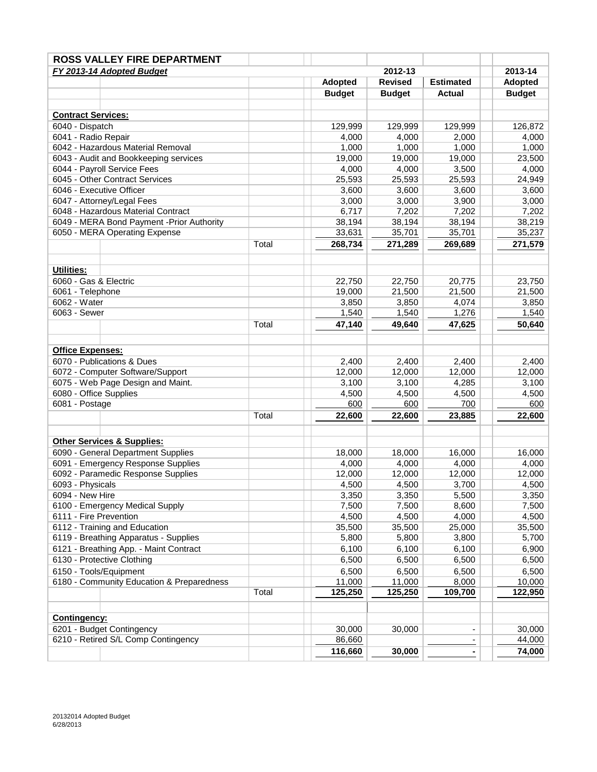| <b>ROSS VALLEY FIRE DEPARTMENT</b>                        |       |                                                      |                |                |                |
|-----------------------------------------------------------|-------|------------------------------------------------------|----------------|----------------|----------------|
| FY 2013-14 Adopted Budget                                 |       |                                                      | 2012-13        |                | 2013-14        |
|                                                           |       | <b>Revised</b><br><b>Adopted</b><br><b>Estimated</b> |                | <b>Adopted</b> |                |
|                                                           |       | <b>Budget</b>                                        | <b>Budget</b>  | <b>Actual</b>  | <b>Budget</b>  |
|                                                           |       |                                                      |                |                |                |
| <b>Contract Services:</b>                                 |       |                                                      |                |                |                |
| 6040 - Dispatch                                           |       | 129,999                                              | 129,999        | 129,999        | 126,872        |
| 6041 - Radio Repair                                       |       | 4,000                                                | 4,000          | 2,000          | 4,000          |
| 6042 - Hazardous Material Removal                         |       | 1,000                                                | 1,000          | 1,000          | 1,000          |
| 6043 - Audit and Bookkeeping services                     |       | 19,000                                               | 19,000         | 19,000         | 23,500         |
| 6044 - Payroll Service Fees                               |       | 4,000                                                | 4,000          | 3,500          | 4,000          |
| 6045 - Other Contract Services                            |       | 25,593                                               | 25,593         | 25,593         | 24,949         |
| 6046 - Executive Officer                                  |       | 3,600                                                | 3,600          | 3,600          | 3,600          |
| 6047 - Attorney/Legal Fees                                |       | 3,000                                                | 3,000          | 3,900          | 3,000          |
| 6048 - Hazardous Material Contract                        |       | 6,717                                                | 7,202          | 7,202          | 7,202          |
| 6049 - MERA Bond Payment - Prior Authority                |       | 38,194                                               | 38,194         | 38,194         | 38,219         |
| 6050 - MERA Operating Expense                             |       | 33,631                                               | 35,701         | 35,701         | 35,237         |
|                                                           | Total | 268,734                                              | 271,289        | 269,689        | 271,579        |
|                                                           |       |                                                      |                |                |                |
| <b>Utilities:</b>                                         |       |                                                      |                |                |                |
| 6060 - Gas & Electric                                     |       | 22,750                                               | 22,750         | 20,775         | 23,750         |
| 6061 - Telephone                                          |       | 19,000                                               | 21,500         | 21,500         | 21,500         |
| 6062 - Water                                              |       | 3,850                                                | 3,850          | 4,074          | 3,850          |
| 6063 - Sewer                                              |       | 1,540                                                | 1,540          | 1,276          | 1,540          |
|                                                           | Total | 47,140                                               | 49,640         | 47,625         | 50,640         |
|                                                           |       |                                                      |                |                |                |
| <b>Office Expenses:</b>                                   |       |                                                      |                |                |                |
| 6070 - Publications & Dues                                |       | 2,400                                                | 2,400          | 2,400          | 2,400          |
| 6072 - Computer Software/Support                          |       | 12,000                                               | 12,000         | 12,000         | 12,000         |
| 6075 - Web Page Design and Maint.                         |       | 3,100                                                | 3,100          | 4,285          | 3,100          |
| 6080 - Office Supplies                                    |       | 4,500                                                | 4,500          | 4,500          | 4,500          |
| 6081 - Postage                                            |       | 600                                                  | 600            | 700            | 600            |
|                                                           | Total | 22,600                                               | 22,600         | 23,885         | 22,600         |
|                                                           |       |                                                      |                |                |                |
|                                                           |       |                                                      |                |                |                |
| <b>Other Services &amp; Supplies:</b>                     |       |                                                      |                |                |                |
| 6090 - General Department Supplies                        |       | 18,000                                               | 18.000         | 16,000         | 16,000         |
| 6091 - Emergency Response Supplies                        |       | 4,000                                                | 4,000          | 4,000          | 4,000          |
| 6092 - Paramedic Response Supplies                        |       | 12,000                                               | 12,000         | 12,000         | 12,000         |
| 6093 - Physicals<br>6094 - New Hire                       |       | 4,500                                                | 4,500          | 3,700          | 4,500          |
|                                                           |       | 3,350<br>7,500                                       | 3,350<br>7,500 | 5,500<br>8,600 | 3,350<br>7,500 |
| 6100 - Emergency Medical Supply<br>6111 - Fire Prevention |       | 4,500                                                | 4,500          | 4,000          | 4,500          |
| 6112 - Training and Education                             |       | 35,500                                               | 35,500         | 25,000         | 35,500         |
| 6119 - Breathing Apparatus - Supplies                     |       | 5,800                                                | 5,800          | 3,800          | 5,700          |
| 6121 - Breathing App. - Maint Contract                    |       | 6,100                                                | 6,100          | 6,100          | 6,900          |
| 6130 - Protective Clothing                                |       | 6,500                                                | 6,500          | 6,500          | 6,500          |
| 6150 - Tools/Equipment                                    |       | 6,500                                                | 6,500          | 6,500          | 6,500          |
| 6180 - Community Education & Preparedness                 |       | 11,000                                               | 11,000         | 8,000          | 10,000         |
|                                                           | Total | 125,250                                              | 125,250        | 109,700        | 122,950        |
|                                                           |       |                                                      |                |                |                |
| <b>Contingency:</b>                                       |       |                                                      |                |                |                |
| 6201 - Budget Contingency                                 |       | 30,000                                               | 30,000         |                | 30,000         |
| 6210 - Retired S/L Comp Contingency                       |       | 86,660                                               |                | ۰              | 44,000         |
|                                                           |       | 116,660                                              | 30,000         | ۰              | 74,000         |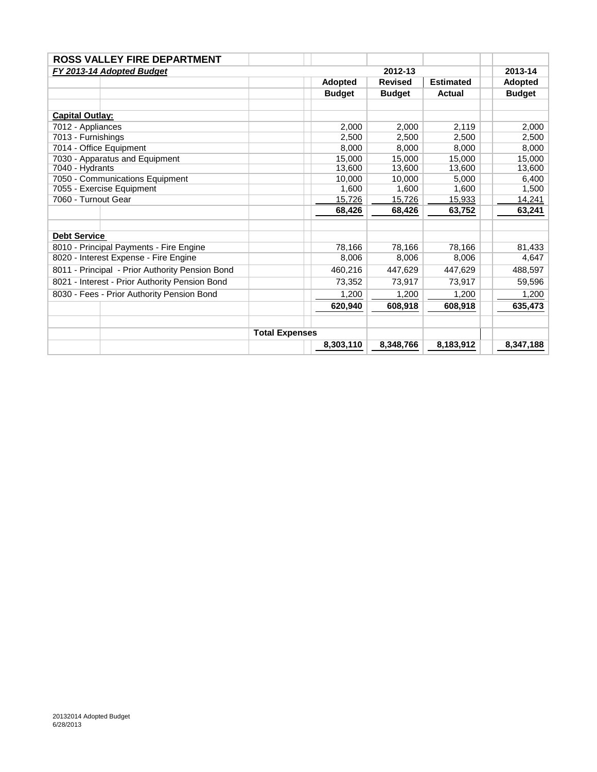| <b>ROSS VALLEY FIRE DEPARTMENT</b>              |                       |                |                |                  |  |                |
|-------------------------------------------------|-----------------------|----------------|----------------|------------------|--|----------------|
| FY 2013-14 Adopted Budget                       |                       |                | 2012-13        |                  |  | 2013-14        |
|                                                 |                       | <b>Adopted</b> | <b>Revised</b> | <b>Estimated</b> |  | <b>Adopted</b> |
|                                                 |                       | <b>Budget</b>  | <b>Budget</b>  | <b>Actual</b>    |  | <b>Budget</b>  |
|                                                 |                       |                |                |                  |  |                |
| <b>Capital Outlay:</b>                          |                       |                |                |                  |  |                |
| 7012 - Appliances                               |                       | 2.000          | 2.000          | 2,119            |  | 2,000          |
| 7013 - Furnishings                              |                       | 2,500          | 2.500          | 2.500            |  | 2,500          |
| 7014 - Office Equipment                         |                       | 8,000          | 8,000          | 8.000            |  | 8,000          |
| 7030 - Apparatus and Equipment                  |                       | 15,000         | 15,000         | 15,000           |  | 15,000         |
| 7040 - Hydrants                                 |                       | 13,600         | 13,600         | 13,600           |  | 13,600         |
| 7050 - Communications Equipment                 |                       | 10.000         | 10,000         | 5,000            |  | 6,400          |
| 7055 - Exercise Equipment                       |                       | 1,600          | 1,600          | 1,600            |  | 1,500          |
| 7060 - Turnout Gear                             |                       | 15,726         | 15,726         | 15,933           |  | 14,241         |
|                                                 |                       | 68,426         | 68,426         | 63,752           |  | 63,241         |
|                                                 |                       |                |                |                  |  |                |
| <b>Debt Service</b>                             |                       |                |                |                  |  |                |
| 8010 - Principal Payments - Fire Engine         |                       | 78.166         | 78,166         | 78,166           |  | 81,433         |
| 8020 - Interest Expense - Fire Engine           |                       | 8,006          | 8,006          | 8,006            |  | 4,647          |
| 8011 - Principal - Prior Authority Pension Bond |                       | 460,216        | 447.629        | 447.629          |  | 488,597        |
| 8021 - Interest - Prior Authority Pension Bond  |                       | 73,352         | 73,917         | 73,917           |  | 59,596         |
| 8030 - Fees - Prior Authority Pension Bond      |                       | 1,200          | 1,200          | 1,200            |  | 1,200          |
|                                                 |                       | 620,940        | 608,918        | 608,918          |  | 635,473        |
|                                                 |                       |                |                |                  |  |                |
|                                                 | <b>Total Expenses</b> |                |                |                  |  |                |
|                                                 |                       | 8,303,110      | 8,348,766      | 8,183,912        |  | 8,347,188      |